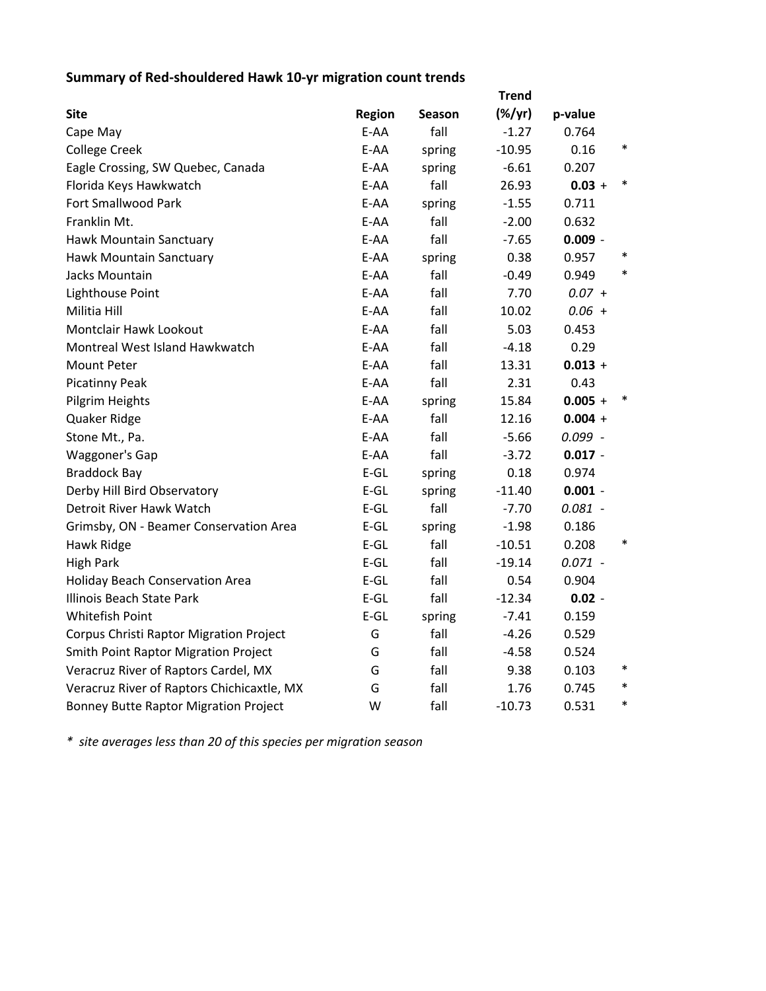## **Summary of Red‐shouldered Hawk 10‐yr migration count trends**

|                                              |        |        | <b>Trend</b>    |           |        |
|----------------------------------------------|--------|--------|-----------------|-----------|--------|
| <b>Site</b>                                  | Region | Season | $(\frac{1}{2})$ | p-value   |        |
| Cape May                                     | E-AA   | fall   | $-1.27$         | 0.764     |        |
| <b>College Creek</b>                         | E-AA   | spring | $-10.95$        | 0.16      | $\ast$ |
| Eagle Crossing, SW Quebec, Canada            | E-AA   | spring | $-6.61$         | 0.207     |        |
| Florida Keys Hawkwatch                       | E-AA   | fall   | 26.93           | $0.03 +$  | $\ast$ |
| <b>Fort Smallwood Park</b>                   | E-AA   | spring | $-1.55$         | 0.711     |        |
| Franklin Mt.                                 | E-AA   | fall   | $-2.00$         | 0.632     |        |
| Hawk Mountain Sanctuary                      | E-AA   | fall   | $-7.65$         | $0.009 -$ |        |
| Hawk Mountain Sanctuary                      | E-AA   | spring | 0.38            | 0.957     |        |
| Jacks Mountain                               | E-AA   | fall   | $-0.49$         | 0.949     | $\ast$ |
| Lighthouse Point                             | E-AA   | fall   | 7.70            | $0.07 +$  |        |
| Militia Hill                                 | E-AA   | fall   | 10.02           | $0.06 +$  |        |
| Montclair Hawk Lookout                       | E-AA   | fall   | 5.03            | 0.453     |        |
| Montreal West Island Hawkwatch               | E-AA   | fall   | $-4.18$         | 0.29      |        |
| <b>Mount Peter</b>                           | E-AA   | fall   | 13.31           | $0.013 +$ |        |
| <b>Picatinny Peak</b>                        | E-AA   | fall   | 2.31            | 0.43      |        |
| Pilgrim Heights                              | E-AA   | spring | 15.84           | $0.005 +$ |        |
| Quaker Ridge                                 | E-AA   | fall   | 12.16           | $0.004 +$ |        |
| Stone Mt., Pa.                               | E-AA   | fall   | $-5.66$         | $0.099 -$ |        |
| Waggoner's Gap                               | E-AA   | fall   | $-3.72$         | $0.017 -$ |        |
| <b>Braddock Bay</b>                          | $E-GL$ | spring | 0.18            | 0.974     |        |
| Derby Hill Bird Observatory                  | $E-GL$ | spring | $-11.40$        | $0.001 -$ |        |
| Detroit River Hawk Watch                     | $E-GL$ | fall   | $-7.70$         | $0.081 -$ |        |
| Grimsby, ON - Beamer Conservation Area       | $E-GL$ | spring | $-1.98$         | 0.186     |        |
| Hawk Ridge                                   | $E-GL$ | fall   | $-10.51$        | 0.208     | $\ast$ |
| <b>High Park</b>                             | $E-GL$ | fall   | $-19.14$        | $0.071 -$ |        |
| <b>Holiday Beach Conservation Area</b>       | $E-GL$ | fall   | 0.54            | 0.904     |        |
| Illinois Beach State Park                    | $E-GL$ | fall   | $-12.34$        | $0.02 -$  |        |
| Whitefish Point                              | $E-GL$ | spring | $-7.41$         | 0.159     |        |
| Corpus Christi Raptor Migration Project      | G      | fall   | $-4.26$         | 0.529     |        |
| <b>Smith Point Raptor Migration Project</b>  | G      | fall   | $-4.58$         | 0.524     |        |
| Veracruz River of Raptors Cardel, MX         | G      | fall   | 9.38            | 0.103     | $\ast$ |
| Veracruz River of Raptors Chichicaxtle, MX   | G      | fall   | 1.76            | 0.745     | $\ast$ |
| <b>Bonney Butte Raptor Migration Project</b> | W      | fall   | $-10.73$        | 0.531     | $\ast$ |

*\* site averages less than 20 of this species per migration season*